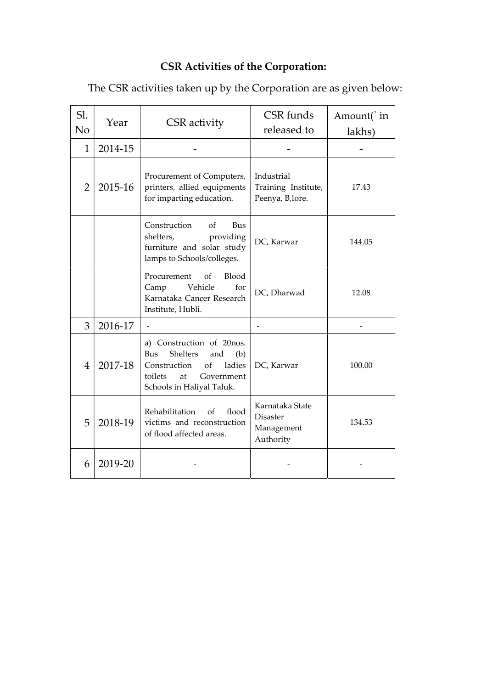## CSR Activities of the Corporation:

The CSR activities taken up by the Corporation are as given below:

| Sl.<br>N <sub>o</sub> | Year    | <b>CSR</b> activity                                                                                                                                    | CSR funds<br>released to                                      | Amount( in<br>lakhs) |
|-----------------------|---------|--------------------------------------------------------------------------------------------------------------------------------------------------------|---------------------------------------------------------------|----------------------|
| $\mathbf{1}$          | 2014-15 |                                                                                                                                                        |                                                               |                      |
| $\overline{2}$        | 2015-16 | Procurement of Computers,<br>printers, allied equipments<br>for imparting education.                                                                   | Industrial<br>Training Institute,<br>Peenya, B,lore.          | 17.43                |
|                       |         | Construction<br>Bus<br>of<br>shelters,<br>providing<br>furniture and solar study<br>lamps to Schools/colleges.                                         | DC, Karwar                                                    | 144.05               |
|                       |         | Blood<br>Procurement<br>οf<br>Vehicle<br>for<br>Camp<br>Karnataka Cancer Research<br>Institute, Hubli.                                                 | DC, Dharwad                                                   | 12.08                |
| 3                     | 2016-17 | $\overline{\phantom{a}}$                                                                                                                               |                                                               |                      |
| 4                     | 2017-18 | a) Construction of 20nos.<br>Shelters<br>Bus<br>and<br>(b)<br>Construction<br>ladies<br>of<br>toilets<br>Government<br>at<br>Schools in Haliyal Taluk. | DC, Karwar                                                    | 100.00               |
| 5                     | 2018-19 | flood<br>Rehabilitation<br>of<br>victims and reconstruction<br>of flood affected areas.                                                                | Karnataka State<br><b>Disaster</b><br>Management<br>Authority | 134.53               |
| 6                     | 2019-20 |                                                                                                                                                        |                                                               |                      |